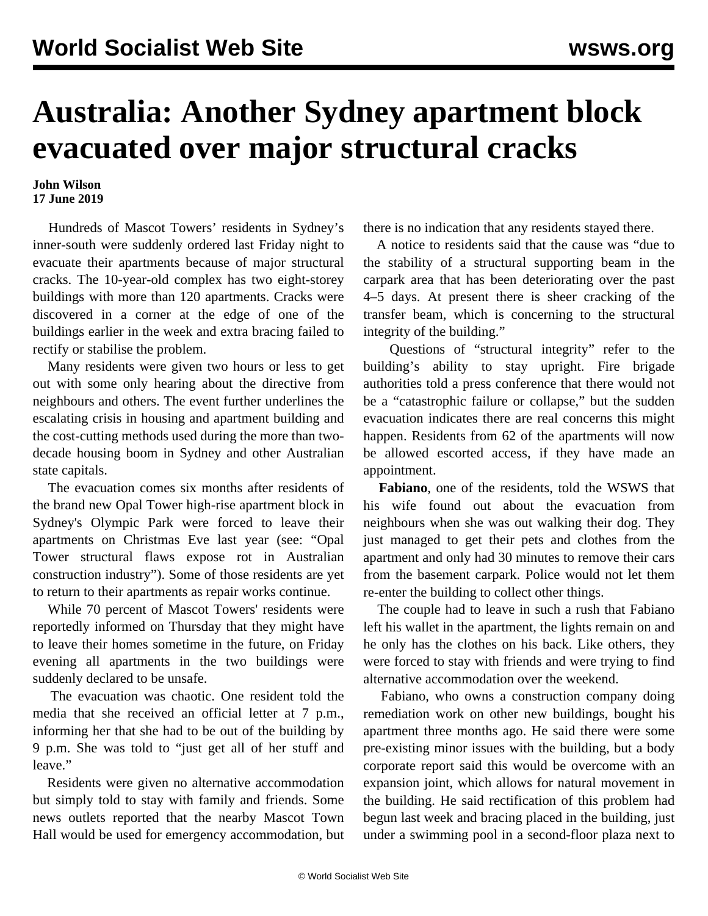## **Australia: Another Sydney apartment block evacuated over major structural cracks**

## **John Wilson 17 June 2019**

 Hundreds of Mascot Towers' residents in Sydney's inner-south were suddenly ordered last Friday night to evacuate their apartments because of major structural cracks. The 10-year-old complex has two eight-storey buildings with more than 120 apartments. Cracks were discovered in a corner at the edge of one of the buildings earlier in the week and extra bracing failed to rectify or stabilise the problem.

 Many residents were given two hours or less to get out with some only hearing about the directive from neighbours and others. The event further underlines the escalating crisis in housing and apartment building and the cost-cutting methods used during the more than twodecade housing boom in Sydney and other Australian state capitals.

 The evacuation comes six months after residents of the brand new Opal Tower high-rise apartment block in Sydney's Olympic Park were forced to leave their apartments on Christmas Eve last year (see: ["Opal](/en/articles/2019/01/07/opal-j07.html) [Tower structural flaws expose rot in Australian](/en/articles/2019/01/07/opal-j07.html) [construction industry](/en/articles/2019/01/07/opal-j07.html)"). Some of those residents are yet to return to their apartments as repair works continue.

 While 70 percent of Mascot Towers' residents were reportedly informed on Thursday that they might have to leave their homes sometime in the future, on Friday evening all apartments in the two buildings were suddenly declared to be unsafe.

 The evacuation was chaotic. One resident told the media that she received an official letter at 7 p.m., informing her that she had to be out of the building by 9 p.m. She was told to "just get all of her stuff and leave."

 Residents were given no alternative accommodation but simply told to stay with family and friends. Some news outlets reported that the nearby Mascot Town Hall would be used for emergency accommodation, but there is no indication that any residents stayed there.

 A notice to residents said that the cause was "due to the stability of a structural supporting beam in the carpark area that has been deteriorating over the past 4–5 days. At present there is sheer cracking of the transfer beam, which is concerning to the structural integrity of the building."

 Questions of "structural integrity" refer to the building's ability to stay upright. Fire brigade authorities told a press conference that there would not be a "catastrophic failure or collapse," but the sudden evacuation indicates there are real concerns this might happen. Residents from 62 of the apartments will now be allowed escorted access, if they have made an appointment.

 **Fabiano**, one of the residents, told the WSWS that his wife found out about the evacuation from neighbours when she was out walking their dog. They just managed to get their pets and clothes from the apartment and only had 30 minutes to remove their cars from the basement carpark. Police would not let them re-enter the building to collect other things.

 The couple had to leave in such a rush that Fabiano left his wallet in the apartment, the lights remain on and he only has the clothes on his back. Like others, they were forced to stay with friends and were trying to find alternative accommodation over the weekend.

 Fabiano, who owns a construction company doing remediation work on other new buildings, bought his apartment three months ago. He said there were some pre-existing minor issues with the building, but a body corporate report said this would be overcome with an expansion joint, which allows for natural movement in the building. He said rectification of this problem had begun last week and bracing placed in the building, just under a swimming pool in a second-floor plaza next to